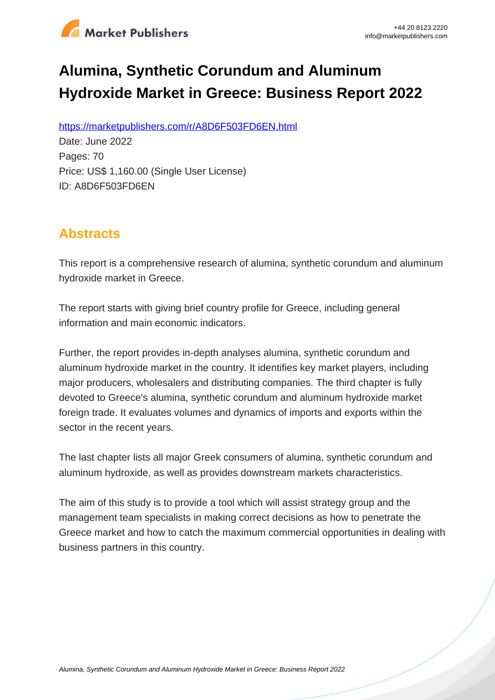

# **Alumina, Synthetic Corundum and Aluminum Hydroxide Market in Greece: Business Report 2022**

https://marketpublishers.com/r/A8D6F503FD6EN.html

Date: June 2022 Pages: 70 Price: US\$ 1,160.00 (Single User License) ID: A8D6F503FD6EN

# **Abstracts**

This report is a comprehensive research of alumina, synthetic corundum and aluminum hydroxide market in Greece.

The report starts with giving brief country profile for Greece, including general information and main economic indicators.

Further, the report provides in-depth analyses alumina, synthetic corundum and aluminum hydroxide market in the country. It identifies key market players, including major producers, wholesalers and distributing companies. The third chapter is fully devoted to Greece's alumina, synthetic corundum and aluminum hydroxide market foreign trade. It evaluates volumes and dynamics of imports and exports within the sector in the recent years.

The last chapter lists all major Greek consumers of alumina, synthetic corundum and aluminum hydroxide, as well as provides downstream markets characteristics.

The aim of this study is to provide a tool which will assist strategy group and the management team specialists in making correct decisions as how to penetrate the Greece market and how to catch the maximum commercial opportunities in dealing with business partners in this country.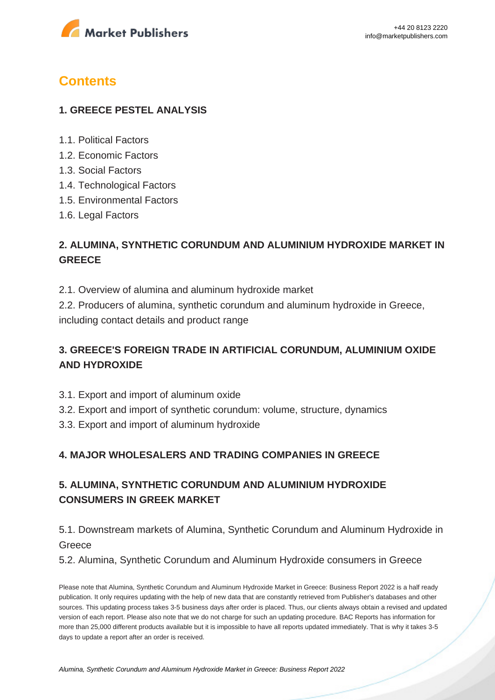

# **Contents**

#### **1. GREECE PESTEL ANALYSIS**

- 1.1. Political Factors
- 1.2. Economic Factors
- 1.3. Social Factors
- 1.4. Technological Factors
- 1.5. Environmental Factors
- 1.6. Legal Factors

# **2. ALUMINA, SYNTHETIC CORUNDUM AND ALUMINIUM HYDROXIDE MARKET IN GREECE**

2.1. Overview of alumina and aluminum hydroxide market

2.2. Producers of alumina, synthetic corundum and aluminum hydroxide in Greece, including contact details and product range

# **3. GREECE'S FOREIGN TRADE IN ARTIFICIAL CORUNDUM, ALUMINIUM OXIDE AND HYDROXIDE**

- 3.1. Export and import of aluminum oxide
- 3.2. Export and import of synthetic corundum: volume, structure, dynamics
- 3.3. Export and import of aluminum hydroxide

#### **4. MAJOR WHOLESALERS AND TRADING COMPANIES IN GREECE**

# **5. ALUMINA, SYNTHETIC CORUNDUM AND ALUMINIUM HYDROXIDE CONSUMERS IN GREEK MARKET**

## 5.1. Downstream markets of Alumina, Synthetic Corundum and Aluminum Hydroxide in **Greece**

5.2. Alumina, Synthetic Corundum and Aluminum Hydroxide consumers in Greece

Please note that Alumina, Synthetic Corundum and Aluminum Hydroxide Market in Greece: Business Report 2022 is a half ready publication. It only requires updating with the help of new data that are constantly retrieved from Publisher's databases and other sources. This updating process takes 3-5 business days after order is placed. Thus, our clients always obtain a revised and updated version of each report. Please also note that we do not charge for such an updating procedure. BAC Reports has information for more than 25,000 different products available but it is impossible to have all reports updated immediately. That is why it takes 3-5 days to update a report after an order is received.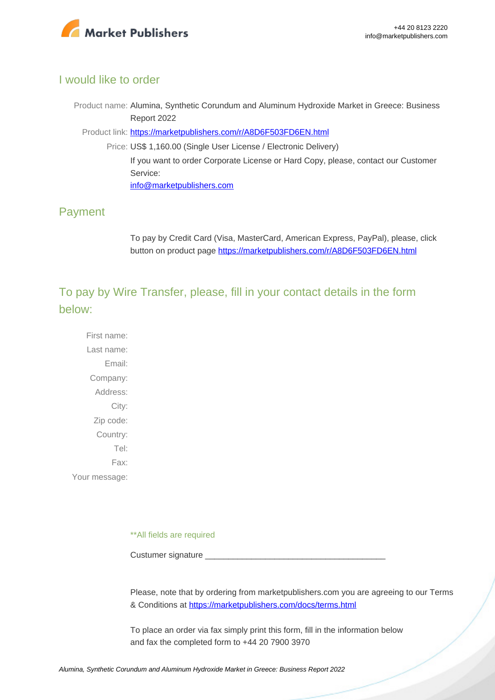

#### I would like to order

Product name: Alumina, Synthetic Corundum and Aluminum Hydroxide Market in Greece: Business Report 2022

Product link: [https://marketpublishers.com/r/A8D6F503FD6EN.html](https://marketpublishers.com/report/industry/chemicals_petrochemicals/alumina_synthetic_corundum_n_aluminum_hydroxide_market_in_greece_business_report.html)

Price: US\$ 1,160.00 (Single User License / Electronic Delivery) If you want to order Corporate License or Hard Copy, please, contact our Customer Service:

[info@marketpublishers.com](mailto:info@marketpublishers.com)

## Payment

To pay by Credit Card (Visa, MasterCard, American Express, PayPal), please, click button on product page [https://marketpublishers.com/r/A8D6F503FD6EN.html](https://marketpublishers.com/report/industry/chemicals_petrochemicals/alumina_synthetic_corundum_n_aluminum_hydroxide_market_in_greece_business_report.html)

To pay by Wire Transfer, please, fill in your contact details in the form below:

First name: Last name: Email: Company: Address: City: Zip code: Country: Tel: Fax: Your message:

\*\*All fields are required

Custumer signature

Please, note that by ordering from marketpublishers.com you are agreeing to our Terms & Conditions at<https://marketpublishers.com/docs/terms.html>

To place an order via fax simply print this form, fill in the information below and fax the completed form to +44 20 7900 3970